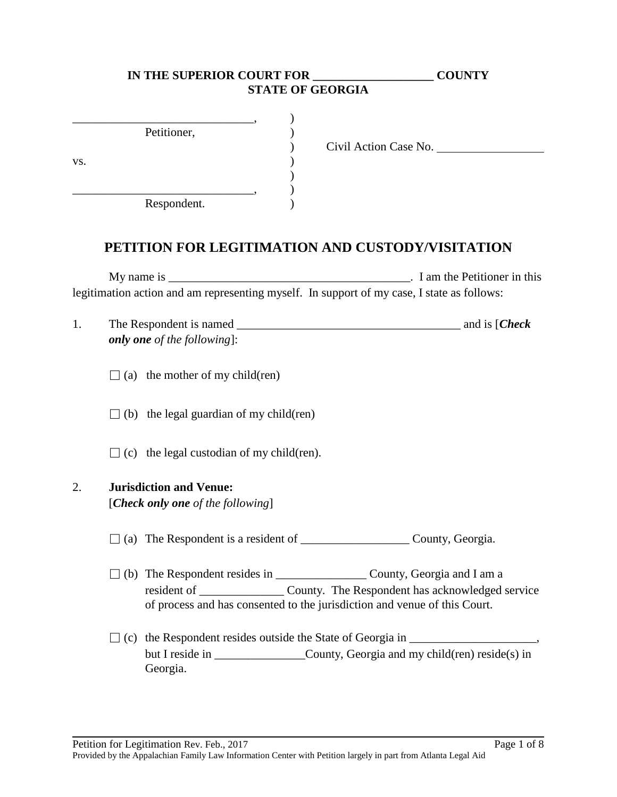# **IN THE SUPERIOR COURT FOR \_\_\_\_\_\_\_\_\_\_\_\_\_\_\_\_\_\_\_\_ COUNTY STATE OF GEORGIA**

|     | Petitioner, |  |
|-----|-------------|--|
| VS. |             |  |
|     |             |  |
|     | Respondent. |  |

) Civil Action Case No.

# **PETITION FOR LEGITIMATION AND CUSTODY/VISITATION**

My name is \_\_\_\_\_\_\_\_\_\_\_\_\_\_\_\_\_\_\_\_\_\_\_\_\_\_\_\_\_\_\_\_\_\_\_\_\_\_\_\_. I am the Petitioner in this legitimation action and am representing myself. In support of my case, I state as follows:

| The Respondent is named            | and is [ <i>Check</i> ] |
|------------------------------------|-------------------------|
| <b>only one</b> of the following]: |                         |

 $\Box$  (a) the mother of my child(ren)

 $\Box$  (b) the legal guardian of my child(ren)

 $\Box$  (c) the legal custodian of my child(ren).

#### 2. **Jurisdiction and Venue:**

[*Check only one of the following*]

 $\Box$  (a) The Respondent is a resident of County, Georgia.

- □ (b) The Respondent resides in \_\_\_\_\_\_\_\_\_\_\_\_\_\_\_ County, Georgia and I am a resident of \_\_\_\_\_\_\_\_\_\_\_\_\_\_ County. The Respondent has acknowledged service of process and has consented to the jurisdiction and venue of this Court.
- $\Box$  (c) the Respondent resides outside the State of Georgia in  $\Box$ but I reside in County, Georgia and my child(ren) reside(s) in Georgia.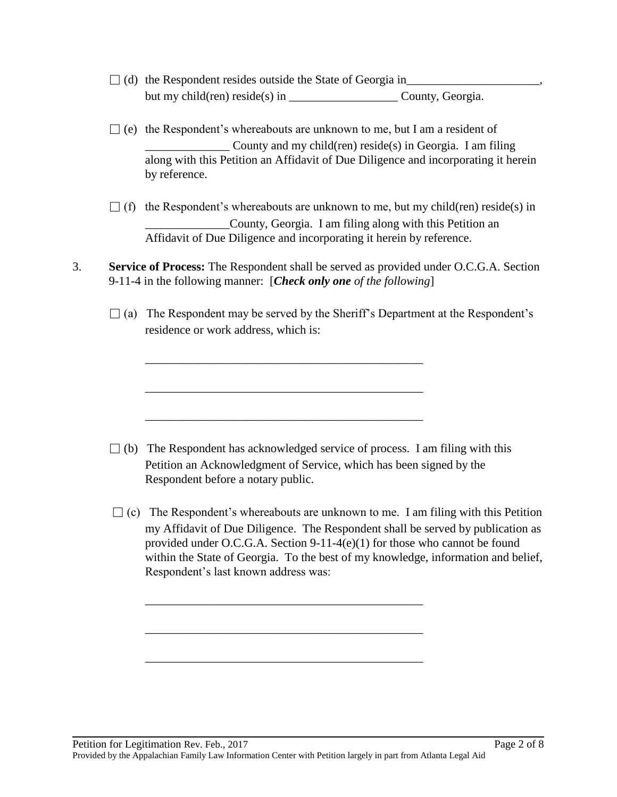- □ (d) the Respondent resides outside the State of Georgia in\_\_\_\_\_\_\_\_\_\_\_\_\_\_\_\_\_\_\_\_\_\_, but my child(ren) reside(s) in County, Georgia.
- $\Box$  (e) the Respondent's whereabouts are unknown to me, but I am a resident of  $\Box$  County and my child(ren) reside(s) in Georgia. I am filing along with this Petition an Affidavit of Due Diligence and incorporating it herein by reference.
- $\Box$  (f) the Respondent's whereabouts are unknown to me, but my child(ren) reside(s) in \_\_\_\_\_\_\_\_\_\_\_\_\_\_County, Georgia. I am filing along with this Petition an Affidavit of Due Diligence and incorporating it herein by reference.
- 3. **Service of Process:** The Respondent shall be served as provided under O.C.G.A. Section 9-11-4 in the following manner: [*Check only one of the following*]

\_\_\_\_\_\_\_\_\_\_\_\_\_\_\_\_\_\_\_\_\_\_\_\_\_\_\_\_\_\_\_\_\_\_\_\_\_\_\_\_\_\_\_\_\_\_

\_\_\_\_\_\_\_\_\_\_\_\_\_\_\_\_\_\_\_\_\_\_\_\_\_\_\_\_\_\_\_\_\_\_\_\_\_\_\_\_\_\_\_\_\_\_

\_\_\_\_\_\_\_\_\_\_\_\_\_\_\_\_\_\_\_\_\_\_\_\_\_\_\_\_\_\_\_\_\_\_\_\_\_\_\_\_\_\_\_\_\_\_

\_\_\_\_\_\_\_\_\_\_\_\_\_\_\_\_\_\_\_\_\_\_\_\_\_\_\_\_\_\_\_\_\_\_\_\_\_\_\_\_\_\_\_\_\_\_

\_\_\_\_\_\_\_\_\_\_\_\_\_\_\_\_\_\_\_\_\_\_\_\_\_\_\_\_\_\_\_\_\_\_\_\_\_\_\_\_\_\_\_\_\_\_

\_\_\_\_\_\_\_\_\_\_\_\_\_\_\_\_\_\_\_\_\_\_\_\_\_\_\_\_\_\_\_\_\_\_\_\_\_\_\_\_\_\_\_\_\_\_

 $\Box$  (a) The Respondent may be served by the Sheriff's Department at the Respondent's residence or work address, which is:

- $\Box$  (b) The Respondent has acknowledged service of process. I am filing with this Petition an Acknowledgment of Service, which has been signed by the Respondent before a notary public.
- $\Box$  (c) The Respondent's whereabouts are unknown to me. I am filing with this Petition my Affidavit of Due Diligence. The Respondent shall be served by publication as provided under O.C.G.A. Section 9-11-4(e)(1) for those who cannot be found within the State of Georgia. To the best of my knowledge, information and belief, Respondent's last known address was: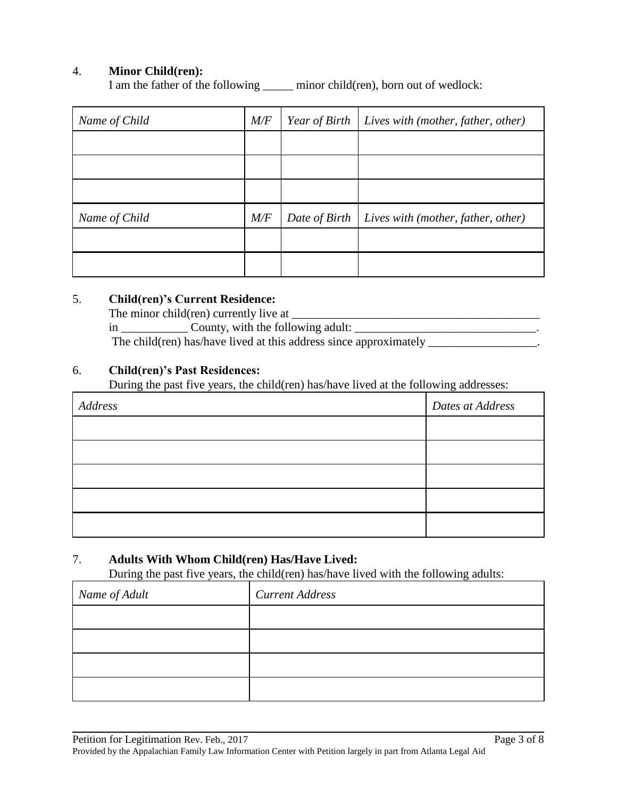### 4. **Minor Child(ren):**

I am the father of the following \_\_\_\_\_ minor child(ren), born out of wedlock:

| Name of Child | M/F | Year of Birth | Lives with (mother, father, other) |
|---------------|-----|---------------|------------------------------------|
|               |     |               |                                    |
|               |     |               |                                    |
|               |     |               |                                    |
| Name of Child | M/F | Date of Birth | Lives with (mother, father, other) |
|               |     |               |                                    |
|               |     |               |                                    |

#### 5. **Child(ren)'s Current Residence:**

The minor child(ren) currently live at  $\Box$ 

in \_\_\_\_\_\_\_\_\_\_\_ County, with the following adult: \_\_\_\_\_\_\_\_\_\_\_\_\_\_\_\_\_\_\_\_\_\_\_\_\_\_\_\_\_\_\_.

The child(ren) has/have lived at this address since approximately \_\_\_\_\_\_\_\_\_\_\_\_\_\_\_\_.

#### 6. **Child(ren)'s Past Residences:**

During the past five years, the child(ren) has/have lived at the following addresses:

| Address | Dates at Address |
|---------|------------------|
|         |                  |
|         |                  |
|         |                  |
|         |                  |
|         |                  |

### 7. **Adults With Whom Child(ren) Has/Have Lived:**

During the past five years, the child(ren) has/have lived with the following adults:

| Name of Adult | <b>Current Address</b> |
|---------------|------------------------|
|               |                        |
|               |                        |
|               |                        |
|               |                        |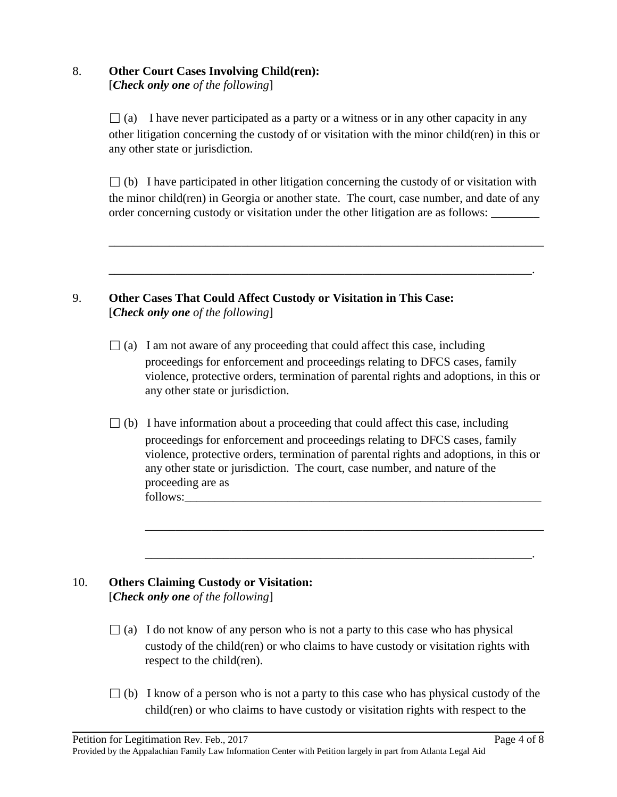#### 8. **Other Court Cases Involving Child(ren):** [*Check only one of the following*]

 $\Box$  (a) I have never participated as a party or a witness or in any other capacity in any other litigation concerning the custody of or visitation with the minor child(ren) in this or any other state or jurisdiction.

 $\Box$  (b) I have participated in other litigation concerning the custody of or visitation with the minor child(ren) in Georgia or another state. The court, case number, and date of any order concerning custody or visitation under the other litigation are as follows:

\_\_\_\_\_\_\_\_\_\_\_\_\_\_\_\_\_\_\_\_\_\_\_\_\_\_\_\_\_\_\_\_\_\_\_\_\_\_\_\_\_\_\_\_\_\_\_\_\_\_\_\_\_\_\_\_\_\_\_\_\_\_\_\_\_\_\_\_\_\_\_\_

\_\_\_\_\_\_\_\_\_\_\_\_\_\_\_\_\_\_\_\_\_\_\_\_\_\_\_\_\_\_\_\_\_\_\_\_\_\_\_\_\_\_\_\_\_\_\_\_\_\_\_\_\_\_\_\_\_\_\_\_\_\_\_\_\_\_\_\_\_\_.

### 9. **Other Cases That Could Affect Custody or Visitation in This Case:** [*Check only one of the following*]

- $\Box$  (a) I am not aware of any proceeding that could affect this case, including proceedings for enforcement and proceedings relating to DFCS cases, family violence, protective orders, termination of parental rights and adoptions, in this or any other state or jurisdiction.
- $\Box$  (b) I have information about a proceeding that could affect this case, including proceedings for enforcement and proceedings relating to DFCS cases, family violence, protective orders, termination of parental rights and adoptions, in this or any other state or jurisdiction. The court, case number, and nature of the proceeding are as follows:\_\_\_\_\_\_\_\_\_\_\_\_\_\_\_\_\_\_\_\_\_\_\_\_\_\_\_\_\_\_\_\_\_\_\_\_\_\_\_\_\_\_\_\_\_\_\_\_\_\_\_\_\_\_\_\_\_\_\_

\_\_\_\_\_\_\_\_\_\_\_\_\_\_\_\_\_\_\_\_\_\_\_\_\_\_\_\_\_\_\_\_\_\_\_\_\_\_\_\_\_\_\_\_\_\_\_\_\_\_\_\_\_\_\_\_\_\_\_\_\_\_\_\_\_\_

\_\_\_\_\_\_\_\_\_\_\_\_\_\_\_\_\_\_\_\_\_\_\_\_\_\_\_\_\_\_\_\_\_\_\_\_\_\_\_\_\_\_\_\_\_\_\_\_\_\_\_\_\_\_\_\_\_\_\_\_\_\_\_\_.

# 10. **Others Claiming Custody or Visitation:** [*Check only one of the following*]

- $\Box$  (a) I do not know of any person who is not a party to this case who has physical custody of the child(ren) or who claims to have custody or visitation rights with respect to the child(ren).
- $\Box$  (b) I know of a person who is not a party to this case who has physical custody of the child(ren) or who claims to have custody or visitation rights with respect to the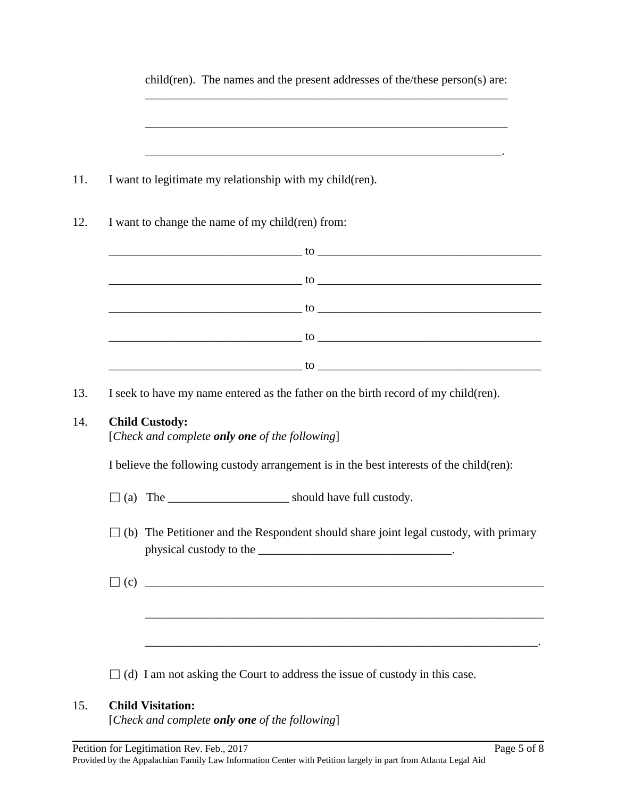| child(ren). The names and the present addresses of the/these person(s) are:                                                                                                                                                  |
|------------------------------------------------------------------------------------------------------------------------------------------------------------------------------------------------------------------------------|
|                                                                                                                                                                                                                              |
|                                                                                                                                                                                                                              |
| I want to legitimate my relationship with my child (ren).                                                                                                                                                                    |
| I want to change the name of my child(ren) from:                                                                                                                                                                             |
|                                                                                                                                                                                                                              |
| $10$ and $10$ and $10$ and $10$ and $10$ and $10$ and $10$ and $10$ and $10$ and $10$ and $10$ and $10$ and $10$ and $10$ and $10$ and $10$ and $10$ and $10$ and $10$ and $10$ and $10$ and $10$ and $10$ and $10$ and $10$ |
| $10$ $\mu$                                                                                                                                                                                                                   |
|                                                                                                                                                                                                                              |
| $\sim$ to $\sim$ to $\sim$ to $\sim$ to $\sim$ to $\sim$ to $\sim$ to $\sim$ to $\sim$ to $\sim$ to $\sim$ to $\sim$ to $\sim$                                                                                               |
| I seek to have my name entered as the father on the birth record of my child(ren).                                                                                                                                           |
| <b>Child Custody:</b><br>[Check and complete only one of the following]                                                                                                                                                      |
| I believe the following custody arrangement is in the best interests of the child(ren):                                                                                                                                      |
|                                                                                                                                                                                                                              |
| (b) The Petitioner and the Respondent should share joint legal custody, with primary                                                                                                                                         |
|                                                                                                                                                                                                                              |
|                                                                                                                                                                                                                              |
|                                                                                                                                                                                                                              |
|                                                                                                                                                                                                                              |

# 15. **Child Visitation:**

[*Check and complete only one of the following*]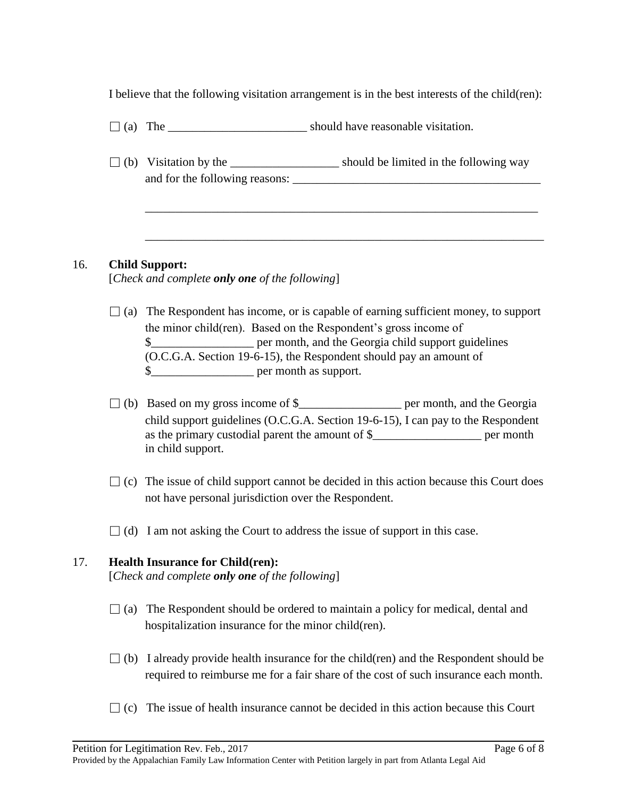I believe that the following visitation arrangement is in the best interests of the child(ren):

- $\Box$  (a) The should have reasonable visitation.
- $\Box$  (b) Visitation by the \_\_\_\_\_\_\_\_\_\_\_\_\_\_\_\_\_\_\_\_\_\_\_ should be limited in the following way and for the following reasons: \_\_\_\_\_\_\_\_\_\_\_\_\_\_\_\_\_\_\_\_\_\_\_\_\_\_\_\_\_\_\_\_\_\_\_\_\_\_\_\_\_

\_\_\_\_\_\_\_\_\_\_\_\_\_\_\_\_\_\_\_\_\_\_\_\_\_\_\_\_\_\_\_\_\_\_\_\_\_\_\_\_\_\_\_\_\_\_\_\_\_\_\_\_\_\_\_\_\_\_\_\_\_\_\_\_\_

\_\_\_\_\_\_\_\_\_\_\_\_\_\_\_\_\_\_\_\_\_\_\_\_\_\_\_\_\_\_\_\_\_\_\_\_\_\_\_\_\_\_\_\_\_\_\_\_\_\_\_\_\_\_\_\_\_\_\_\_\_\_\_\_\_\_

## 16. **Child Support:**

[*Check and complete only one of the following*]

- $\Box$  (a) The Respondent has income, or is capable of earning sufficient money, to support the minor child(ren). Based on the Respondent's gross income of \$\_\_\_\_\_\_\_\_\_\_\_\_\_\_\_\_\_ per month, and the Georgia child support guidelines (O.C.G.A. Section 19-6-15), the Respondent should pay an amount of \$\_\_\_\_\_\_\_\_\_\_\_\_\_\_\_\_\_ per month as support.
- $\Box$  (b) Based on my gross income of \$\_\_\_\_\_\_\_\_\_\_\_\_\_\_\_\_\_\_\_\_\_\_ per month, and the Georgia child support guidelines (O.C.G.A. Section 19-6-15), I can pay to the Respondent as the primary custodial parent the amount of \$\_\_\_\_\_\_\_\_\_\_\_\_\_\_\_\_\_\_ per month in child support.
- $\Box$  (c) The issue of child support cannot be decided in this action because this Court does not have personal jurisdiction over the Respondent.
- $\Box$  (d) I am not asking the Court to address the issue of support in this case.

# 17. **Health Insurance for Child(ren):**

[*Check and complete only one of the following*]

- $\Box$  (a) The Respondent should be ordered to maintain a policy for medical, dental and hospitalization insurance for the minor child(ren).
- $\Box$  (b) I already provide health insurance for the child(ren) and the Respondent should be required to reimburse me for a fair share of the cost of such insurance each month.
- $\Box$  (c) The issue of health insurance cannot be decided in this action because this Court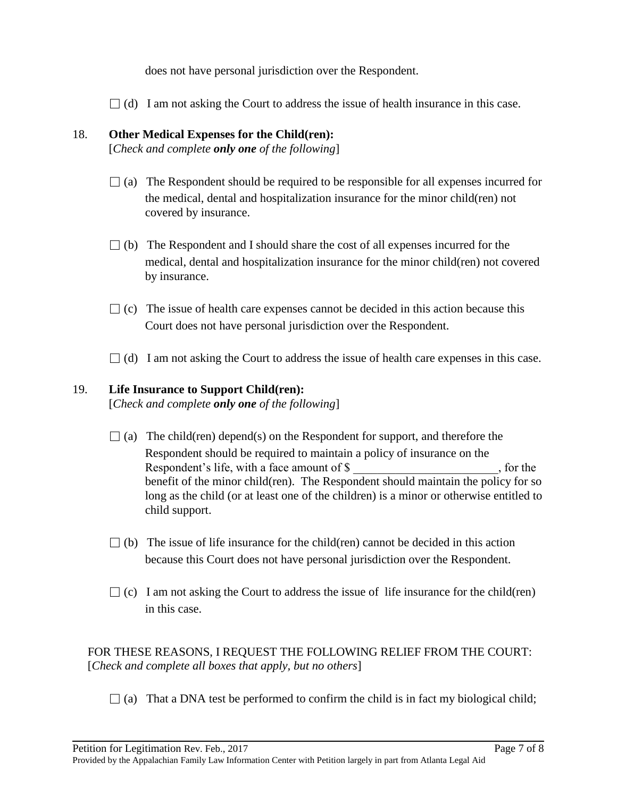does not have personal jurisdiction over the Respondent.

 $\Box$  (d) I am not asking the Court to address the issue of health insurance in this case.

### 18. **Other Medical Expenses for the Child(ren):**

[*Check and complete only one of the following*]

- $\Box$  (a) The Respondent should be required to be responsible for all expenses incurred for the medical, dental and hospitalization insurance for the minor child(ren) not covered by insurance.
- $\Box$  (b) The Respondent and I should share the cost of all expenses incurred for the medical, dental and hospitalization insurance for the minor child(ren) not covered by insurance.
- $\Box$  (c) The issue of health care expenses cannot be decided in this action because this Court does not have personal jurisdiction over the Respondent.
- $\Box$  (d) I am not asking the Court to address the issue of health care expenses in this case.

## 19. **Life Insurance to Support Child(ren):**

[*Check and complete only one of the following*]

- $\Box$  (a) The child(ren) depend(s) on the Respondent for support, and therefore the Respondent should be required to maintain a policy of insurance on the Respondent's life, with a face amount of \$  $\,$ , for the benefit of the minor child(ren). The Respondent should maintain the policy for so long as the child (or at least one of the children) is a minor or otherwise entitled to child support.
- $\Box$  (b) The issue of life insurance for the child(ren) cannot be decided in this action because this Court does not have personal jurisdiction over the Respondent.
- $\Box$  (c) I am not asking the Court to address the issue of life insurance for the child(ren) in this case.

 FOR THESE REASONS, I REQUEST THE FOLLOWING RELIEF FROM THE COURT: [*Check and complete all boxes that apply, but no others*]

 $\Box$  (a) That a DNA test be performed to confirm the child is in fact my biological child;